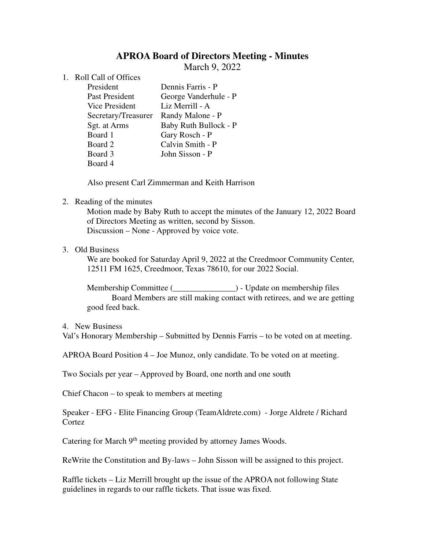# **APROA Board of Directors Meeting - Minutes**

March 9, 2022

- 1. Roll Call of Offices
	- President Dennis Farris P Past President George Vanderhule - P Vice President Liz Merrill - A Secretary/Treasurer Randy Malone - P Sgt. at Arms Baby Ruth Bullock - P Board 1 Gary Rosch - P Board 2 Calvin Smith - P Board 3 John Sisson - P Board 4

Also present Carl Zimmerman and Keith Harrison

## 2. Reading of the minutes

Motion made by Baby Ruth to accept the minutes of the January 12, 2022 Board of Directors Meeting as written, second by Sisson. Discussion – None - Approved by voice vote.

### 3. Old Business

We are booked for Saturday April 9, 2022 at the Creedmoor Community Center, 12511 FM 1625, Creedmoor, Texas 78610, for our 2022 Social.

Membership Committee (  $\qquad \qquad$  ) - Update on membership files Board Members are still making contact with retirees, and we are getting good feed back.

#### 4. New Business

Val's Honorary Membership – Submitted by Dennis Farris – to be voted on at meeting.

APROA Board Position 4 – Joe Munoz, only candidate. To be voted on at meeting.

Two Socials per year – Approved by Board, one north and one south

Chief Chacon – to speak to members at meeting

Speaker - EFG - Elite Financing Group (TeamAldrete.com) - Jorge Aldrete / Richard Cortez

Catering for March 9<sup>th</sup> meeting provided by attorney James Woods.

ReWrite the Constitution and By-laws – John Sisson will be assigned to this project.

Raffle tickets – Liz Merrill brought up the issue of the APROA not following State guidelines in regards to our raffle tickets. That issue was fixed.